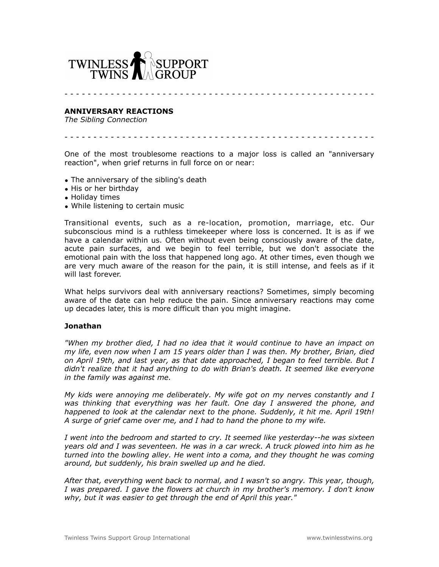

- - - - - - - - - - - - - - - - - - - - - - - - - - - - - - - - - - - - - - - - - - - - - - - - - - - - - -

## **ANNIVERSARY REACTIONS**

*The Sibling Connection*

- - - - - - - - - - - - - - - - - - - - - - - - - - - - - - - - - - - - - - - - - - - - - - - - - - - - - -

One of the most troublesome reactions to a major loss is called an "anniversary reaction", when grief returns in full force on or near:

- The anniversary of the sibling's death
- His or her birthday
- Holiday times
- While listening to certain music

Transitional events, such as a re-location, promotion, marriage, etc. Our subconscious mind is a ruthless timekeeper where loss is concerned. It is as if we have a calendar within us. Often without even being consciously aware of the date, acute pain surfaces, and we begin to feel terrible, but we don't associate the emotional pain with the loss that happened long ago. At other times, even though we are very much aware of the reason for the pain, it is still intense, and feels as if it will last forever.

What helps survivors deal with anniversary reactions? Sometimes, simply becoming aware of the date can help reduce the pain. Since anniversary reactions may come up decades later, this is more difficult than you might imagine.

## **Jonathan**

*"When my brother died, I had no idea that it would continue to have an impact on my life, even now when I am 15 years older than I was then. My brother, Brian, died on April 19th, and last year, as that date approached, I began to feel terrible. But I didn't realize that it had anything to do with Brian's death. It seemed like everyone in the family was against me.*

*My kids were annoying me deliberately. My wife got on my nerves constantly and I was thinking that everything was her fault. One day I answered the phone, and happened to look at the calendar next to the phone. Suddenly, it hit me. April 19th! A surge of grief came over me, and I had to hand the phone to my wife.* 

*I went into the bedroom and started to cry. It seemed like yesterday--he was sixteen years old and I was seventeen. He was in a car wreck. A truck plowed into him as he turned into the bowling alley. He went into a coma, and they thought he was coming around, but suddenly, his brain swelled up and he died.*

*After that, everything went back to normal, and I wasn't so angry. This year, though, I was prepared. I gave the flowers at church in my brother's memory. I don't know why, but it was easier to get through the end of April this year."*